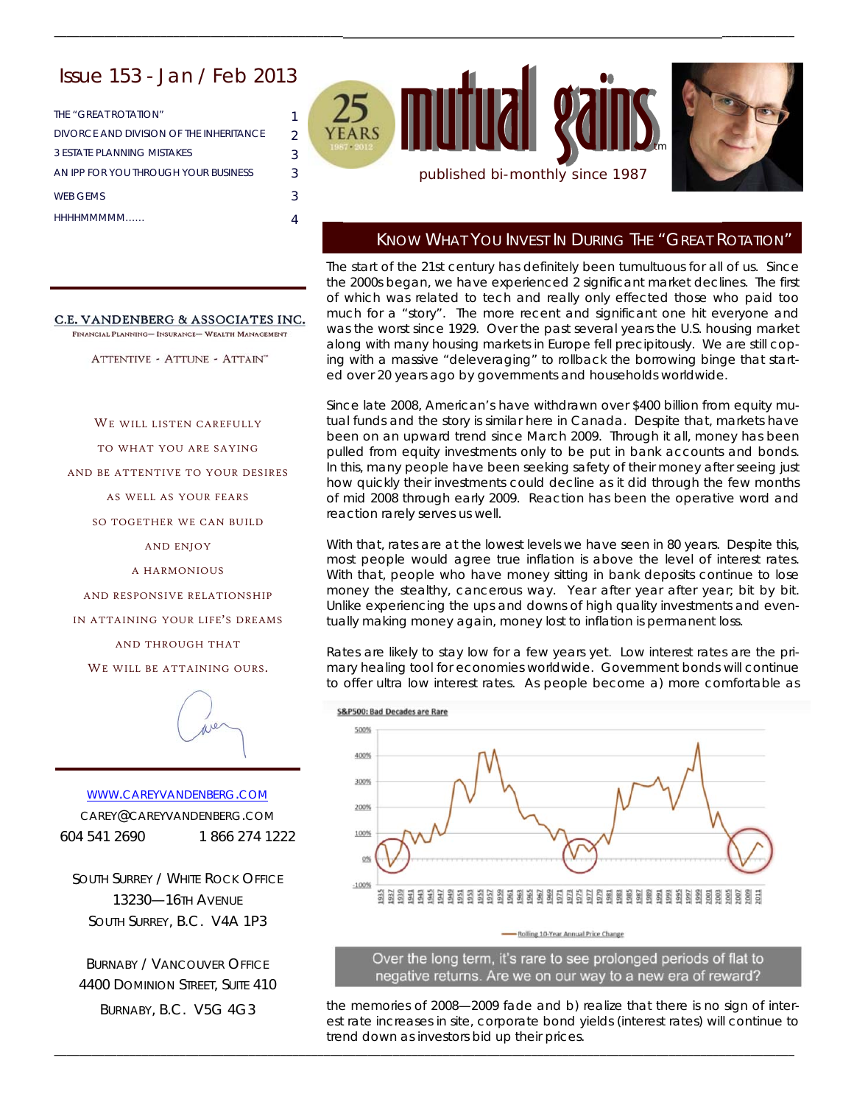# Issue 153 - Jan / Feb 2013

| THE "GREAT ROTATION"                    |   |
|-----------------------------------------|---|
| DIVORCE AND DIVISION OF THE INHERITANCE | 2 |
| 3 ESTATE PLANNING MISTAKES              |   |
| AN IPP FOR YOU THROUGH YOUR BUSINESS    | २ |
| <b>WER GEMS</b>                         | 3 |
| HHHHMMMMM                               |   |

# mutual gains. published bi-monthly since 1987

\_\_\_\_\_\_\_\_\_\_\_\_\_\_\_\_\_\_\_\_\_\_\_\_\_\_\_\_\_\_\_\_\_\_\_\_\_\_\_\_\_\_\_\_\_\_\_\_\_\_\_\_\_\_\_\_\_\_\_\_\_\_\_\_\_\_\_\_\_\_\_\_\_\_\_\_\_\_\_\_\_\_\_\_\_\_\_\_\_\_\_\_\_\_\_\_\_\_\_\_\_\_\_\_\_\_\_\_\_\_\_\_\_\_\_\_\_\_



## KNOW WHAT YOU INVEST IN DURING THE "GREAT ROTATION"

The start of the 21st century has definitely been tumultuous for all of us. Since the 2000s began, we have experienced 2 significant market declines. The first of which was related to tech and really only effected those who paid too much for a "story". The more recent and significant one hit everyone and was the worst since 1929. Over the past several years the U.S. housing market along with many housing markets in Europe fell precipitously. We are still coping with a massive "deleveraging" to rollback the borrowing binge that started over 20 years ago by governments and households worldwide.

Since late 2008, American's have withdrawn over \$400 billion from equity mutual funds and the story is similar here in Canada. Despite that, markets have been on an upward trend since March 2009. Through it all, money has been pulled from equity investments only to be put in bank accounts and bonds. In this, many people have been seeking safety of their money after seeing just how quickly their investments could decline as it did through the few months of mid 2008 through early 2009. Reaction has been the operative word and reaction rarely serves us well.

With that, rates are at the lowest levels we have seen in 80 years. Despite this, most people would agree true inflation is above the level of interest rates. With that, people who have money sitting in bank deposits continue to lose money the stealthy, cancerous way. Year after year after year; bit by bit. Unlike experiencing the ups and downs of high quality investments and eventually making money again, money lost to inflation is permanent loss.

Rates are likely to stay low for a few years yet. Low interest rates are the primary healing tool for economies worldwide. Government bonds will continue to offer ultra low interest rates. As people become a) more comfortable as



Over the long term, it's rare to see prolonged periods of flat to negative returns. Are we on our way to a new era of reward?

the memories of 2008—2009 fade and b) realize that there is no sign of interest rate increases in site, corporate bond yields (interest rates) will continue to trend down as investors bid up their prices.

\_\_\_\_\_\_\_\_\_\_\_\_\_\_\_\_\_\_\_\_\_\_\_\_\_\_\_\_\_\_\_\_\_\_\_\_\_\_\_\_\_\_\_\_\_\_\_\_\_\_\_\_\_\_\_\_\_\_\_\_\_\_\_\_\_\_\_\_\_\_\_\_\_\_\_\_\_\_\_\_\_\_\_\_\_\_\_\_\_\_\_\_\_\_\_\_\_\_\_\_\_\_\_\_\_\_\_\_\_\_\_\_\_\_\_\_\_\_

#### C.E. VANDENBERG & ASSOCIATES INC.

FINANCIAL PLANNING- INSURANCE- WEALTH MANAGEMENT

ATTENTIVE - ATTUNE - ATTAIN"

WE WILL LISTEN CAREFULLY

TO WHAT YOU ARE SAYING

AND BE ATTENTIVE TO YOUR DESIRES

AS WELL AS YOUR FEARS

SO TOGETHER WE CAN BUILD

AND ENJOY

A HARMONIOUS

AND RESPONSIVE RELATIONSHIP

IN ATTAINING YOUR LIFE'S DREAMS

AND THROUGH THAT

WE WILL BE ATTAINING OURS.



WWW.CAREYVANDENBERG.COM CAREY@CAREYVANDENBERG.COM 604 541 2690 1 866 274 1222

SOUTH SURREY / WHITE ROCK OFFICE 13230—16TH AVENUE SOUTH SURREY, B.C. V4A 1P3

BURNABY / VANCOUVER OFFICE 4400 DOMINION STREET, SUITE 410 BURNABY, B.C. V5G 4G3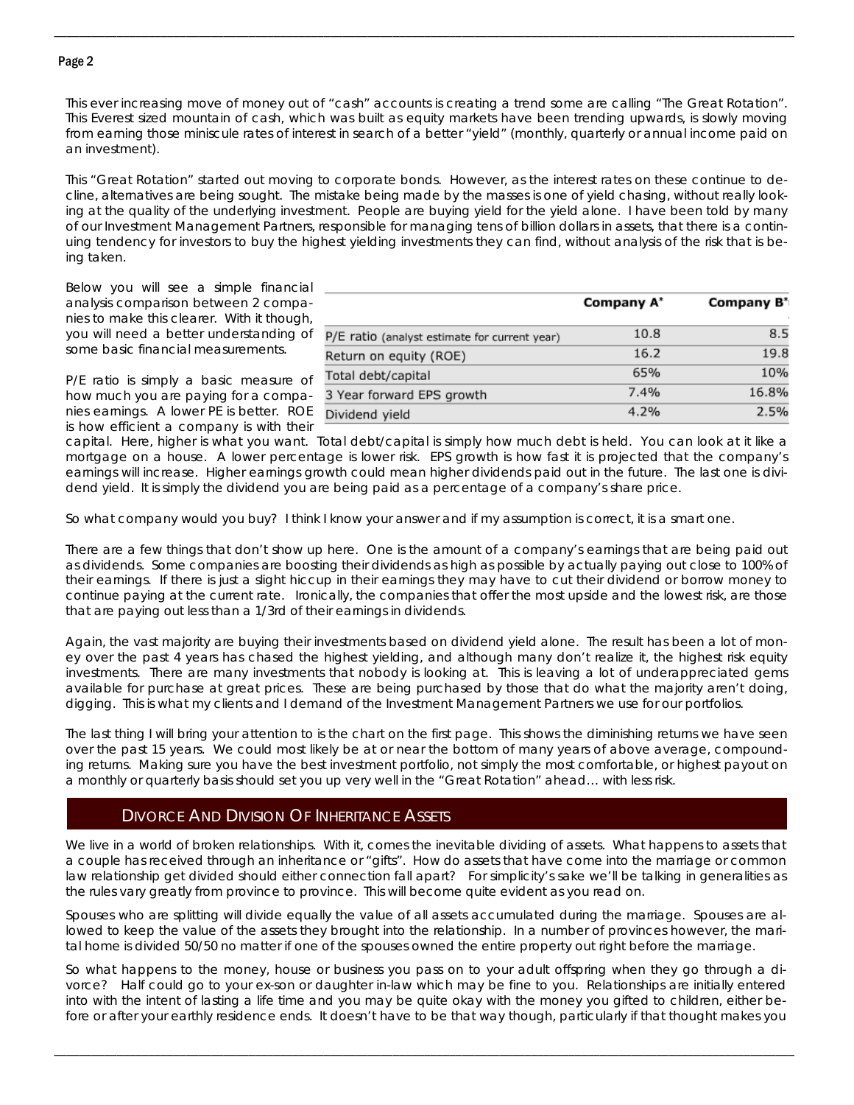### Page 2

This ever increasing move of money out of "cash" accounts is creating a trend some are calling "The Great Rotation". This Everest sized mountain of cash, which was built as equity markets have been trending upwards, is slowly moving from earning those miniscule rates of interest in search of a better "yield" (monthly, quarterly or annual income paid on an investment).

\_\_\_\_\_\_\_\_\_\_\_\_\_\_\_\_\_\_\_\_\_\_\_\_\_\_\_\_\_\_\_\_\_\_\_\_\_\_\_\_\_\_\_\_\_\_\_\_\_\_\_\_\_\_\_\_\_\_\_\_\_\_\_\_\_\_\_\_\_\_\_\_\_\_\_\_\_\_\_\_\_\_\_\_\_\_\_\_\_\_\_\_\_\_\_\_\_\_\_\_\_\_\_\_\_\_\_\_\_\_\_\_\_\_\_\_\_\_

This "Great Rotation" started out moving to corporate bonds. However, as the interest rates on these continue to decline, alternatives are being sought. The mistake being made by the masses is one of yield chasing, without really looking at the quality of the underlying investment. People are buying yield for the yield alone. I have been told by many of our Investment Management Partners, responsible for managing tens of billion dollars in assets, that there is a continuing tendency for investors to buy the highest yielding investments they can find, without analysis of the risk that is being taken.

Below you will see a simple financial analysis comparison between 2 companies to make this clearer. With it though, you will need a better understanding of some basic financial measurements.

P/E ratio is simply a basic measure of how much you are paying for a companies earnings. A lower PE is better. ROE is how efficient a company is with their

|                                               | Company A* | Company B <sup>*</sup> |
|-----------------------------------------------|------------|------------------------|
| P/E ratio (analyst estimate for current year) | 10.8       | 8.5                    |
| Return on equity (ROE)                        | 16.2       | 19.8                   |
| Total debt/capital                            | 65%        | 10%                    |
| 3 Year forward EPS growth                     | 7.4%       | 16.8%                  |
| Dividend yield                                | 4.2%       | 2.5%                   |

capital. Here, higher is what you want. Total debt/capital is simply how much debt is held. You can look at it like a mortgage on a house. A lower percentage is lower risk. EPS growth is how fast it is projected that the company's earnings will increase. Higher earnings growth could mean higher dividends paid out in the future. The last one is dividend yield. It is simply the dividend you are being paid as a percentage of a company's share price.

So what company would you buy? I think I know your answer and if my assumption is correct, it is a smart one.

There are a few things that don't show up here. One is the amount of a company's earnings that are being paid out as dividends. Some companies are boosting their dividends as high as possible by actually paying out close to 100% of their earnings. If there is just a slight hiccup in their earnings they may have to cut their dividend or borrow money to continue paying at the current rate. Ironically, the companies that offer the most upside and the lowest risk, are those that are paying out less than a 1/3rd of their earnings in dividends.

Again, the vast majority are buying their investments based on dividend yield alone. The result has been a lot of money over the past 4 years has chased the highest yielding, and although many don't realize it, the highest risk equity investments. There are many investments that nobody is looking at. This is leaving a lot of underappreciated gems available for purchase at great prices. These are being purchased by those that do what the majority aren't doing, digging. This is what my clients and I demand of the Investment Management Partners we use for our portfolios.

The last thing I will bring your attention to is the chart on the first page. This shows the diminishing returns we have seen over the past 15 years. We could most likely be at or near the bottom of many years of above average, compounding returns. Making sure you have the best investment portfolio, not simply the most comfortable, or highest payout on a monthly or quarterly basis should set you up very well in the "Great Rotation" ahead… with less risk.

## DIVORCE AND DIVISION OF INHERITANCE ASSETS

We live in a world of broken relationships. With it, comes the inevitable dividing of assets. What happens to assets that a couple has received through an inheritance or "gifts". How do assets that have come into the marriage or common law relationship get divided should either connection fall apart? For simplicity's sake we'll be talking in generalities as the rules vary greatly from province to province. This will become quite evident as you read on.

Spouses who are splitting will divide equally the value of all assets accumulated during the marriage. Spouses are allowed to keep the value of the assets they brought into the relationship. In a number of provinces however, the marital home is divided 50/50 no matter if one of the spouses owned the entire property out right before the marriage.

So what happens to the money, house or business you pass on to your adult offspring when they go through a divorce? Half could go to your ex-son or daughter in-law which may be fine to you. Relationships are initially entered into with the intent of lasting a life time and you may be quite okay with the money you gifted to children, either before or after your earthly residence ends. It doesn't have to be that way though, particularly if that thought makes you

\_\_\_\_\_\_\_\_\_\_\_\_\_\_\_\_\_\_\_\_\_\_\_\_\_\_\_\_\_\_\_\_\_\_\_\_\_\_\_\_\_\_\_\_\_\_\_\_\_\_\_\_\_\_\_\_\_\_\_\_\_\_\_\_\_\_\_\_\_\_\_\_\_\_\_\_\_\_\_\_\_\_\_\_\_\_\_\_\_\_\_\_\_\_\_\_\_\_\_\_\_\_\_\_\_\_\_\_\_\_\_\_\_\_\_\_\_\_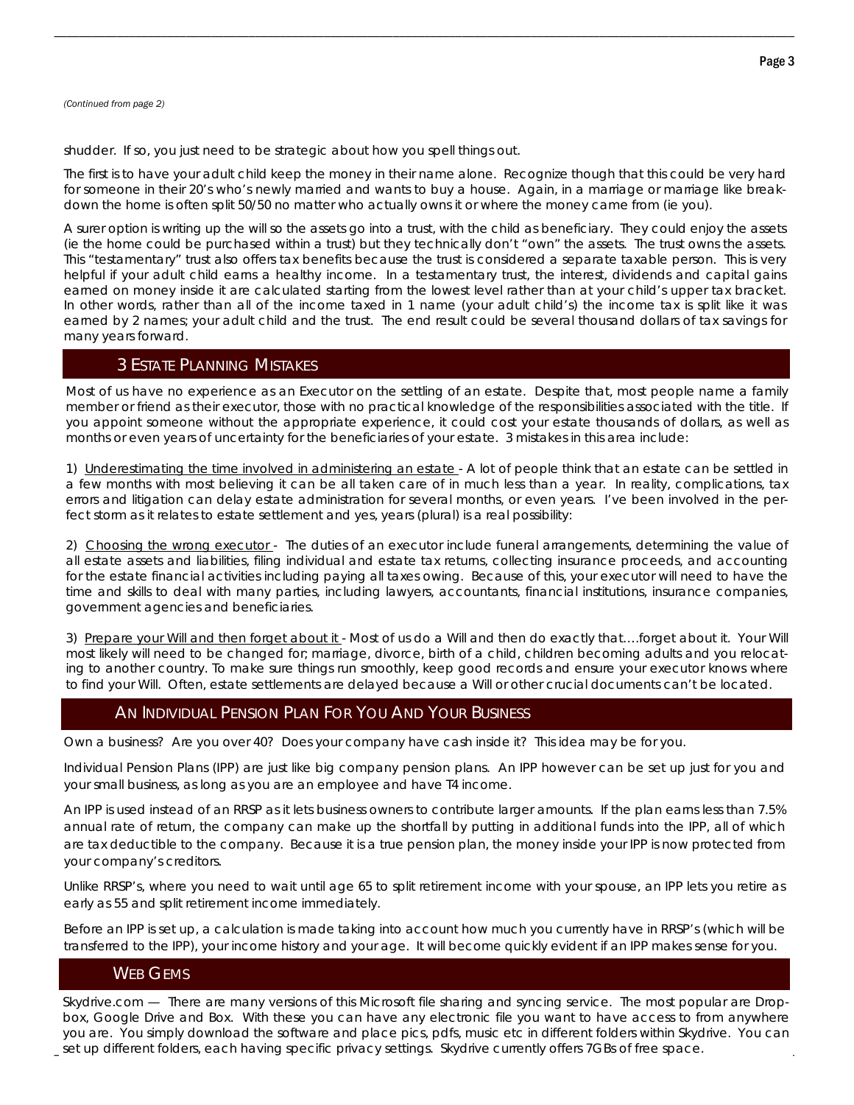#### *(Continued from page 2)*

shudder. If so, you just need to be strategic about how you spell things out.

The first is to have your adult child keep the money in their name alone. Recognize though that this could be very hard for someone in their 20's who's newly married and wants to buy a house. Again, in a marriage or marriage like breakdown the home is often split 50/50 no matter who actually owns it or where the money came from (ie you).

\_\_\_\_\_\_\_\_\_\_\_\_\_\_\_\_\_\_\_\_\_\_\_\_\_\_\_\_\_\_\_\_\_\_\_\_\_\_\_\_\_\_\_\_\_\_\_\_\_\_\_\_\_\_\_\_\_\_\_\_\_\_\_\_\_\_\_\_\_\_\_\_\_\_\_\_\_\_\_\_\_\_\_\_\_\_\_\_\_\_\_\_\_\_\_\_\_\_\_\_\_\_\_\_\_\_\_\_\_\_\_\_\_\_\_\_\_\_

A surer option is writing up the will so the assets go into a trust, with the child as beneficiary. They could enjoy the assets (ie the home could be purchased within a trust) but they technically don't "own" the assets. The trust owns the assets. This "testamentary" trust also offers tax benefits because the trust is considered a separate taxable person. This is very helpful if your adult child earns a healthy income. In a testamentary trust, the interest, dividends and capital gains earned on money inside it are calculated starting from the lowest level rather than at your child's upper tax bracket. In other words, rather than all of the income taxed in 1 name (your adult child's) the income tax is split like it was earned by 2 names; your adult child and the trust. The end result could be several thousand dollars of tax savings for many years forward.

## 3 ESTATE PLANNING MISTAKES

Most of us have no experience as an Executor on the settling of an estate. Despite that, most people name a family member or friend as their executor, those with no practical knowledge of the responsibilities associated with the title. If you appoint someone without the appropriate experience, it could cost your estate thousands of dollars, as well as months or even years of uncertainty for the beneficiaries of your estate. 3 mistakes in this area include:

1) Underestimating the time involved in administering an estate - A lot of people think that an estate can be settled in a few months with most believing it can be all taken care of in much less than a year. In reality, complications, tax errors and litigation can delay estate administration for several months, or even years. I've been involved in the perfect storm as it relates to estate settlement and yes, years (plural) is a real possibility:

2) Choosing the wrong executor - The duties of an executor include funeral arrangements, determining the value of all estate assets and liabilities, filing individual and estate tax returns, collecting insurance proceeds, and accounting for the estate financial activities including paying all taxes owing. Because of this, your executor will need to have the time and skills to deal with many parties, including lawyers, accountants, financial institutions, insurance companies, government agencies and beneficiaries.

3) Prepare your Will and then forget about it - Most of us do a Will and then do exactly that….forget about it. Your Will most likely will need to be changed for; marriage, divorce, birth of a child, children becoming adults and you relocating to another country. To make sure things run smoothly, keep good records and ensure your executor knows where to find your Will. Often, estate settlements are delayed because a Will or other crucial documents can't be located.

## AN INDIVIDUAL PENSION PLAN FOR YOU AND YOUR BUSINESS

Own a business? Are you over 40? Does your company have cash inside it? This idea may be for you.

Individual Pension Plans (IPP) are just like big company pension plans. An IPP however can be set up just for you and your small business, as long as you are an employee and have T4 income.

An IPP is used instead of an RRSP as it lets business owners to contribute larger amounts. If the plan earns less than 7.5% annual rate of return, the company can make up the shortfall by putting in additional funds into the IPP, all of which are tax deductible to the company. Because it is a true pension plan, the money inside your IPP is now protected from your company's creditors.

Unlike RRSP's, where you need to wait until age 65 to split retirement income with your spouse, an IPP lets you retire as early as 55 and split retirement income immediately.

Before an IPP is set up, a calculation is made taking into account how much you currently have in RRSP's (which will be transferred to the IPP), your income history and your age. It will become quickly evident if an IPP makes sense for you.

## WEB GEMS

\_set up different folders, each having specific privacy settings. Skydrive currently offers 7GBs of free space. Skydrive.com — There are many versions of this Microsoft file sharing and syncing service. The most popular are Dropbox, Google Drive and Box. With these you can have any electronic file you want to have access to from anywhere you are. You simply download the software and place pics, pdfs, music etc in different folders within Skydrive. You can